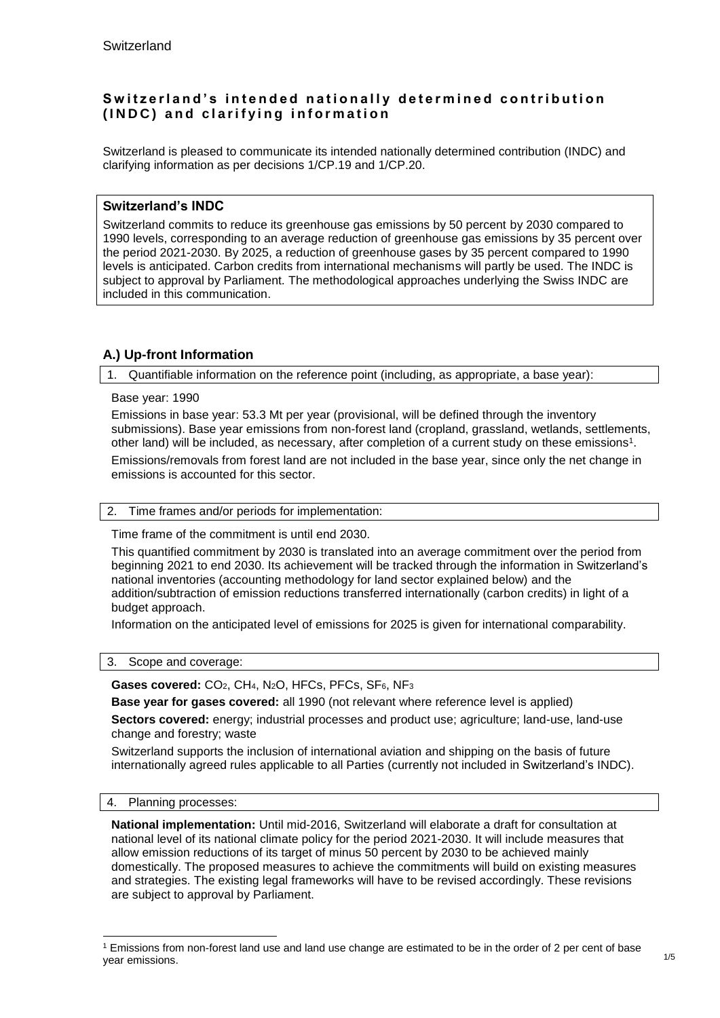# Switzerland's intended nationally determined contribution **( I N D C ) a n d c l a r i f y i n g i n f o r m a t i o n**

Switzerland is pleased to communicate its intended nationally determined contribution (INDC) and clarifying information as per decisions 1/CP.19 and 1/CP.20.

# **Switzerland's INDC**

Switzerland commits to reduce its greenhouse gas emissions by 50 percent by 2030 compared to 1990 levels, corresponding to an average reduction of greenhouse gas emissions by 35 percent over the period 2021-2030. By 2025, a reduction of greenhouse gases by 35 percent compared to 1990 levels is anticipated. Carbon credits from international mechanisms will partly be used. The INDC is subject to approval by Parliament. The methodological approaches underlying the Swiss INDC are included in this communication.

# **A.) Up-front Information**

1. Quantifiable information on the reference point (including, as appropriate, a base year):

### Base year: 1990

Emissions in base year: 53.3 Mt per year (provisional, will be defined through the inventory submissions). Base year emissions from non-forest land (cropland, grassland, wetlands, settlements, other land) will be included, as necessary, after completion of a current study on these emissions<sup>1</sup>.

Emissions/removals from forest land are not included in the base year, since only the net change in emissions is accounted for this sector.

## 2. Time frames and/or periods for implementation:

Time frame of the commitment is until end 2030.

This quantified commitment by 2030 is translated into an average commitment over the period from beginning 2021 to end 2030. Its achievement will be tracked through the information in Switzerland's national inventories (accounting methodology for land sector explained below) and the addition/subtraction of emission reductions transferred internationally (carbon credits) in light of a budget approach.

Information on the anticipated level of emissions for 2025 is given for international comparability.

#### 3. Scope and coverage:

Gases covered: CO<sub>2</sub>, CH<sub>4</sub>, N<sub>2</sub>O, HFCs, PFCs, SF<sub>6</sub>, NF<sub>3</sub>

**Base year for gases covered:** all 1990 (not relevant where reference level is applied)

**Sectors covered:** energy; industrial processes and product use; agriculture; land-use, land-use change and forestry; waste

Switzerland supports the inclusion of international aviation and shipping on the basis of future internationally agreed rules applicable to all Parties (currently not included in Switzerland's INDC).

## 4. Planning processes:

1

**National implementation:** Until mid-2016, Switzerland will elaborate a draft for consultation at national level of its national climate policy for the period 2021-2030. It will include measures that allow emission reductions of its target of minus 50 percent by 2030 to be achieved mainly domestically. The proposed measures to achieve the commitments will build on existing measures and strategies. The existing legal frameworks will have to be revised accordingly. These revisions are subject to approval by Parliament.

<sup>1</sup> Emissions from non-forest land use and land use change are estimated to be in the order of 2 per cent of base year emissions.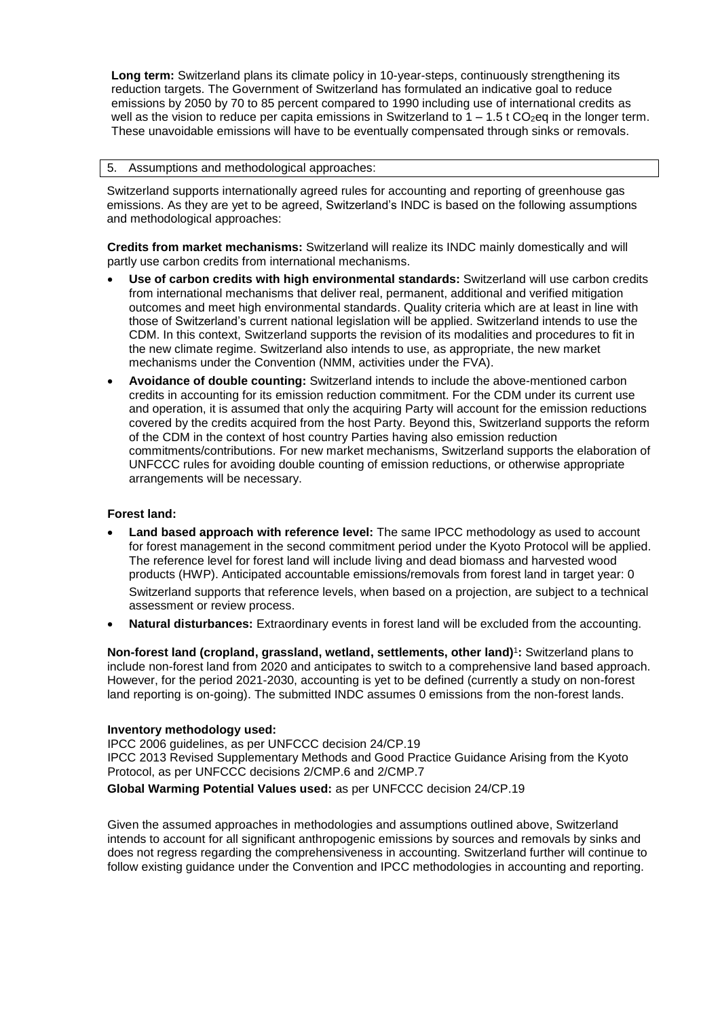**Long term:** Switzerland plans its climate policy in 10-year-steps, continuously strengthening its reduction targets. The Government of Switzerland has formulated an indicative goal to reduce emissions by 2050 by 70 to 85 percent compared to 1990 including use of international credits as well as the vision to reduce per capita emissions in Switzerland to  $1 - 1.5$  t CO<sub>2</sub>eq in the longer term. These unavoidable emissions will have to be eventually compensated through sinks or removals.

### 5. Assumptions and methodological approaches:

Switzerland supports internationally agreed rules for accounting and reporting of greenhouse gas emissions. As they are yet to be agreed, Switzerland's INDC is based on the following assumptions and methodological approaches:

**Credits from market mechanisms:** Switzerland will realize its INDC mainly domestically and will partly use carbon credits from international mechanisms.

- **Use of carbon credits with high environmental standards:** Switzerland will use carbon credits from international mechanisms that deliver real, permanent, additional and verified mitigation outcomes and meet high environmental standards. Quality criteria which are at least in line with those of Switzerland's current national legislation will be applied. Switzerland intends to use the CDM. In this context, Switzerland supports the revision of its modalities and procedures to fit in the new climate regime. Switzerland also intends to use, as appropriate, the new market mechanisms under the Convention (NMM, activities under the FVA).
- **Avoidance of double counting:** Switzerland intends to include the above-mentioned carbon credits in accounting for its emission reduction commitment. For the CDM under its current use and operation, it is assumed that only the acquiring Party will account for the emission reductions covered by the credits acquired from the host Party. Beyond this, Switzerland supports the reform of the CDM in the context of host country Parties having also emission reduction commitments/contributions. For new market mechanisms, Switzerland supports the elaboration of UNFCCC rules for avoiding double counting of emission reductions, or otherwise appropriate arrangements will be necessary.

### **Forest land:**

- **Land based approach with reference level:** The same IPCC methodology as used to account for forest management in the second commitment period under the Kyoto Protocol will be applied. The reference level for forest land will include living and dead biomass and harvested wood products (HWP). Anticipated accountable emissions/removals from forest land in target year: 0 Switzerland supports that reference levels, when based on a projection, are subject to a technical assessment or review process.
- **Natural disturbances:** Extraordinary events in forest land will be excluded from the accounting.

**Non-forest land (cropland, grassland, wetland, settlements, other land)** 1 **:** Switzerland plans to include non-forest land from 2020 and anticipates to switch to a comprehensive land based approach. However, for the period 2021-2030, accounting is yet to be defined (currently a study on non-forest land reporting is on-going). The submitted INDC assumes 0 emissions from the non-forest lands.

#### **Inventory methodology used:**

IPCC 2006 guidelines, as per UNFCCC decision 24/CP.19 IPCC 2013 Revised Supplementary Methods and Good Practice Guidance Arising from the Kyoto Protocol, as per UNFCCC decisions 2/CMP.6 and 2/CMP.7

**Global Warming Potential Values used:** as per UNFCCC decision 24/CP.19

Given the assumed approaches in methodologies and assumptions outlined above, Switzerland intends to account for all significant anthropogenic emissions by sources and removals by sinks and does not regress regarding the comprehensiveness in accounting. Switzerland further will continue to follow existing guidance under the Convention and IPCC methodologies in accounting and reporting.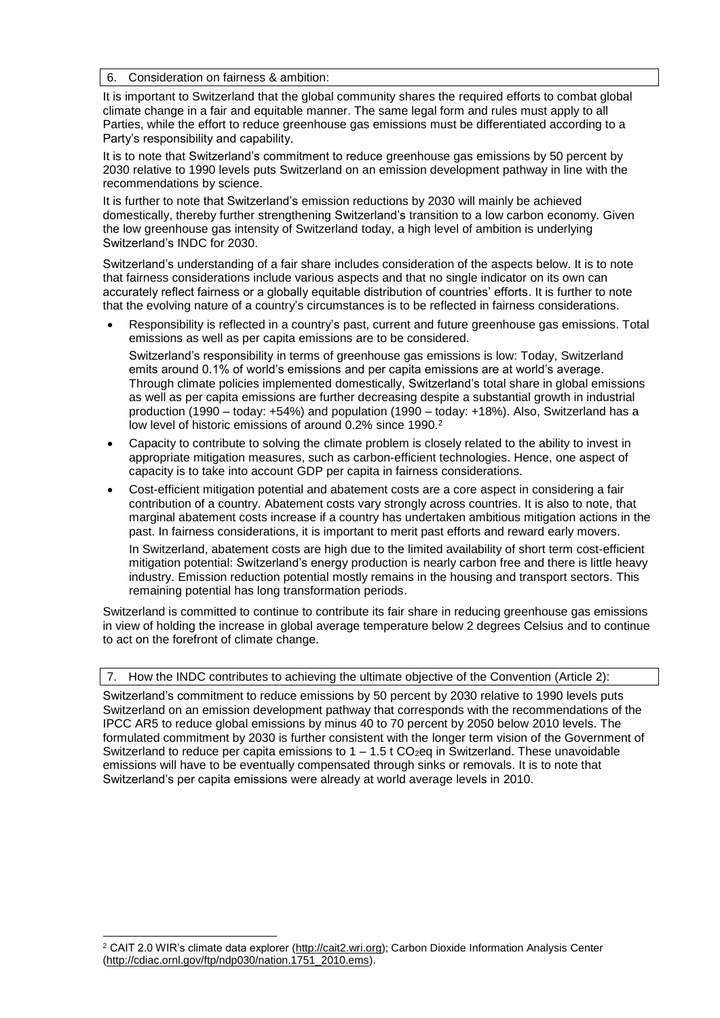6. Consideration on fairness & ambition:

It is important to Switzerland that the global community shares the required efforts to combat global climate change in a fair and equitable manner. The same legal form and rules must apply to all Parties, while the effort to reduce greenhouse gas emissions must be differentiated according to a Party's responsibility and capability.

It is to note that Switzerland's commitment to reduce greenhouse gas emissions by 50 percent by 2030 relative to 1990 levels puts Switzerland on an emission development pathway in line with the recommendations by science.

It is further to note that Switzerland's emission reductions by 2030 will mainly be achieved domestically, thereby further strengthening Switzerland's transition to a low carbon economy. Given the low greenhouse gas intensity of Switzerland today, a high level of ambition is underlying Switzerland's INDC for 2030.

Switzerland's understanding of a fair share includes consideration of the aspects below. It is to note that fairness considerations include various aspects and that no single indicator on its own can accurately reflect fairness or a globally equitable distribution of countries' efforts. It is further to note that the evolving nature of a country's circumstances is to be reflected in fairness considerations.

- Responsibility is reflected in a country's past, current and future greenhouse gas emissions. Total emissions as well as per capita emissions are to be considered. Switzerland's responsibility in terms of greenhouse gas emissions is low: Today, Switzerland emits around 0.1% of world's emissions and per capita emissions are at world's average. Through climate policies implemented domestically, Switzerland's total share in global emissions as well as per capita emissions are further decreasing despite a substantial growth in industrial production (1990 – today: +54%) and population (1990 – today: +18%). Also, Switzerland has a low level of historic emissions of around 0.2% since 1990.<sup>2</sup>
- Capacity to contribute to solving the climate problem is closely related to the ability to invest in appropriate mitigation measures, such as carbon-efficient technologies. Hence, one aspect of capacity is to take into account GDP per capita in fairness considerations.
- Cost-efficient mitigation potential and abatement costs are a core aspect in considering a fair contribution of a country. Abatement costs vary strongly across countries. It is also to note, that marginal abatement costs increase if a country has undertaken ambitious mitigation actions in the past. In fairness considerations, it is important to merit past efforts and reward early movers.

In Switzerland, abatement costs are high due to the limited availability of short term cost-efficient mitigation potential: Switzerland's energy production is nearly carbon free and there is little heavy industry. Emission reduction potential mostly remains in the housing and transport sectors. This remaining potential has long transformation periods.

Switzerland is committed to continue to contribute its fair share in reducing greenhouse gas emissions in view of holding the increase in global average temperature below 2 degrees Celsius and to continue to act on the forefront of climate change.

#### 7. How the INDC contributes to achieving the ultimate objective of the Convention (Article 2):

Switzerland's commitment to reduce emissions by 50 percent by 2030 relative to 1990 levels puts Switzerland on an emission development pathway that corresponds with the recommendations of the IPCC AR5 to reduce global emissions by minus 40 to 70 percent by 2050 below 2010 levels. The formulated commitment by 2030 is further consistent with the longer term vision of the Government of Switzerland to reduce per capita emissions to  $1 - 1.5$  t CO<sub>2</sub>eq in Switzerland. These unavoidable emissions will have to be eventually compensated through sinks or removals. It is to note that Switzerland's per capita emissions were already at world average levels in 2010.

1

<sup>2</sup> CAIT 2.0 WIR's climate data explorer (http://cait2.wri.org); Carbon Dioxide Information Analysis Center [\(http://cdiac.ornl.gov/ftp/ndp030/nation.1751\\_2010.ems\)](http://cdiac.ornl.gov/ftp/ndp030/nation.1751_2010.ems).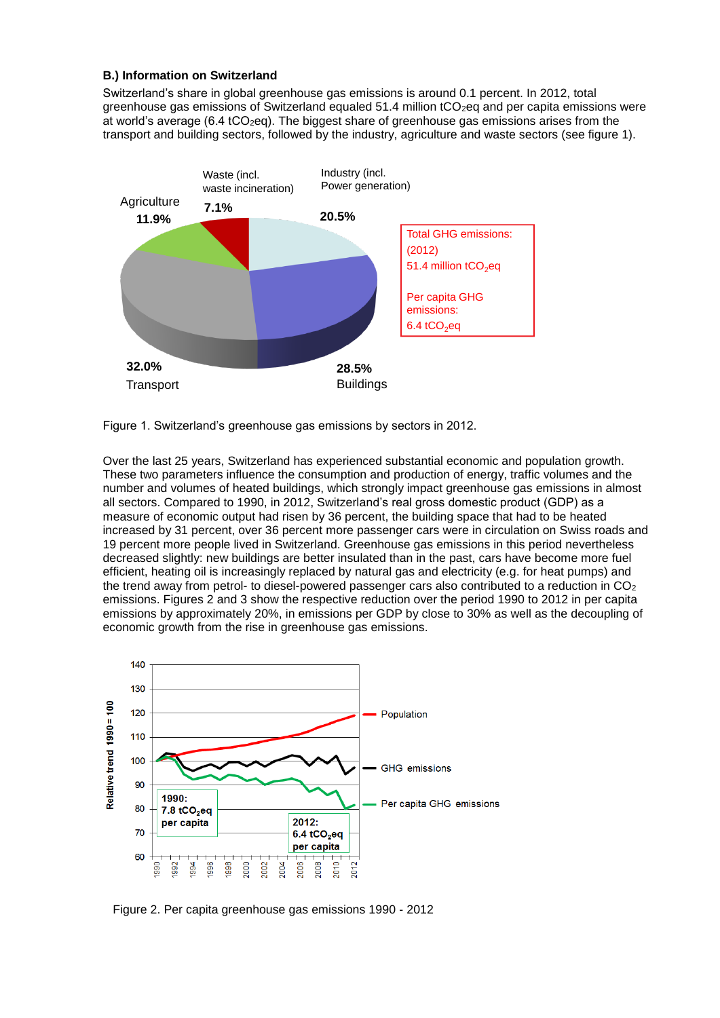## **B.) Information on Switzerland**

Switzerland's share in global greenhouse gas emissions is around 0.1 percent. In 2012, total greenhouse gas emissions of Switzerland equaled  $51.4$  million  $tCO<sub>2</sub>$ eq and per capita emissions were at world's average (6.4  $tCO<sub>2</sub>eq$ ). The biggest share of greenhouse gas emissions arises from the transport and building sectors, followed by the industry, agriculture and waste sectors (see figure 1).



Figure 1. Switzerland's greenhouse gas emissions by sectors in 2012.

Over the last 25 years, Switzerland has experienced substantial economic and population growth. These two parameters influence the consumption and production of energy, traffic volumes and the number and volumes of heated buildings, which strongly impact greenhouse gas emissions in almost all sectors. Compared to 1990, in 2012, Switzerland's real gross domestic product (GDP) as a measure of economic output had risen by 36 percent, the building space that had to be heated increased by 31 percent, over 36 percent more passenger cars were in circulation on Swiss roads and 19 percent more people lived in Switzerland. Greenhouse gas emissions in this period nevertheless decreased slightly: new buildings are better insulated than in the past, cars have become more fuel efficient, heating oil is increasingly replaced by natural gas and electricity (e.g. for heat pumps) and the trend away from petrol- to diesel-powered passenger cars also contributed to a reduction in  $CO<sub>2</sub>$ emissions. Figures 2 and 3 show the respective reduction over the period 1990 to 2012 in per capita emissions by approximately 20%, in emissions per GDP by close to 30% as well as the decoupling of economic growth from the rise in greenhouse gas emissions.



Figure 2. Per capita greenhouse gas emissions 1990 - 2012